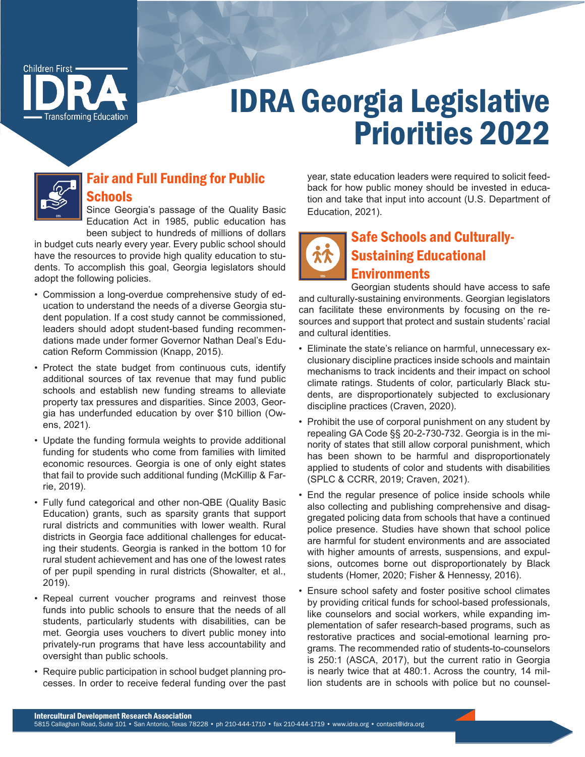

# IDRA Georgia Legislative Priorities 2022



## Fair and Full Funding for Public **Schools**

Since Georgia's passage of the Quality Basic Education Act in 1985, public education has been subject to hundreds of millions of dollars

in budget cuts nearly every year. Every public school should have the resources to provide high quality education to students. To accomplish this goal, Georgia legislators should adopt the following policies.

- Commission a long-overdue comprehensive study of education to understand the needs of a diverse Georgia student population. If a cost study cannot be commissioned, leaders should adopt student-based funding recommendations made under former Governor Nathan Deal's Education Reform Commission (Knapp, 2015).
- Protect the state budget from continuous cuts, identify additional sources of tax revenue that may fund public schools and establish new funding streams to alleviate property tax pressures and disparities. Since 2003, Georgia has underfunded education by over \$10 billion (Owens, 2021).
- Update the funding formula weights to provide additional funding for students who come from families with limited economic resources. Georgia is one of only eight states that fail to provide such additional funding (McKillip & Farrie, 2019).
- Fully fund categorical and other non-QBE (Quality Basic Education) grants, such as sparsity grants that support rural districts and communities with lower wealth. Rural districts in Georgia face additional challenges for educating their students. Georgia is ranked in the bottom 10 for rural student achievement and has one of the lowest rates of per pupil spending in rural districts (Showalter, et al., 2019).
- Repeal current voucher programs and reinvest those funds into public schools to ensure that the needs of all students, particularly students with disabilities, can be met. Georgia uses vouchers to divert public money into privately-run programs that have less accountability and oversight than public schools.
- Require public participation in school budget planning processes. In order to receive federal funding over the past

year, state education leaders were required to solicit feedback for how public money should be invested in education and take that input into account (U.S. Department of Education, 2021).

# Safe Schools and Culturally-Sustaining Educational **Environments**

Georgian students should have access to safe and culturally-sustaining environments. Georgian legislators can facilitate these environments by focusing on the resources and support that protect and sustain students' racial and cultural identities.

- Eliminate the state's reliance on harmful, unnecessary exclusionary discipline practices inside schools and maintain mechanisms to track incidents and their impact on school climate ratings. Students of color, particularly Black students, are disproportionately subjected to exclusionary discipline practices (Craven, 2020).
- Prohibit the use of corporal punishment on any student by repealing GA Code §§ 20-2-730-732. Georgia is in the minority of states that still allow corporal punishment, which has been shown to be harmful and disproportionately applied to students of color and students with disabilities (SPLC & CCRR, 2019; Craven, 2021).
- End the regular presence of police inside schools while also collecting and publishing comprehensive and disaggregated policing data from schools that have a continued police presence. Studies have shown that school police are harmful for student environments and are associated with higher amounts of arrests, suspensions, and expulsions, outcomes borne out disproportionately by Black students (Homer, 2020; Fisher & Hennessy, 2016).
- Ensure school safety and foster positive school climates by providing critical funds for school-based professionals, like counselors and social workers, while expanding implementation of safer research-based programs, such as restorative practices and social-emotional learning programs. The recommended ratio of students-to-counselors is 250:1 (ASCA, 2017), but the current ratio in Georgia is nearly twice that at 480:1. Across the country, 14 million students are in schools with police but no counsel-